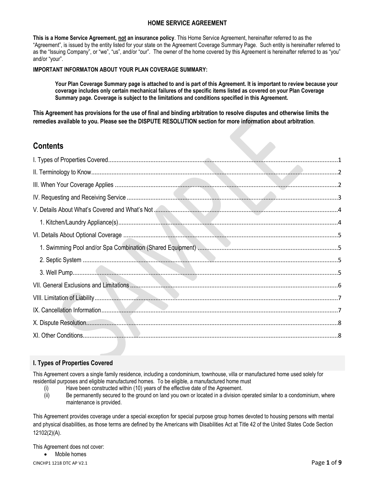# **HOME SERVICE AGREEMENT**

**This is a Home Service Agreement, not an insurance policy**. This Home Service Agreement, hereinafter referred to as the "Agreement", is issued by the entity listed for your state on the Agreement Coverage Summary Page. Such entity is hereinafter referred to as the "Issuing Company", or "we", "us", and/or "our". The owner of the home covered by this Agreement is hereinafter referred to as "you" and/or "your".

### **IMPORTANT INFORMATON ABOUT YOUR PLAN COVERAGE SUMMARY:**

**Your Plan Coverage Summary page is attached to and is part of this Agreement. It is important to review because your coverage includes only certain mechanical failures of the specific items listed as covered on your Plan Coverage Summary page. Coverage is subject to the limitations and conditions specified in this Agreement.**

**This Agreement has provisions for the use of final and binding arbitration to resolve disputes and otherwise limits the remedies available to you. Please see the DISPUTE RESOLUTION section for more information about arbitration**.

# **Contents**

## <span id="page-0-0"></span>**I. Types of Properties Covered**

This Agreement covers a single family residence, including a condominium, townhouse, villa or manufactured home used solely for residential purposes and eligible manufactured homes. To be eligible, a manufactured home must

- (i) Have been constructed within (10) years of the effective date of the Agreement.
- (ii) Be permanently secured to the ground on land you own or located in a division operated similar to a condominium, where maintenance is provided.

This Agreement provides coverage under a special exception for special purpose group homes devoted to housing persons with mental and physical disabilities, as those terms are defined by the Americans with Disabilities Act at Title 42 of the United States Code Section 12102(2)(A).

This Agreement does not cover:

CINCHP1 1218 DTC AP V2.1 Page **1** of **9** Mobile homes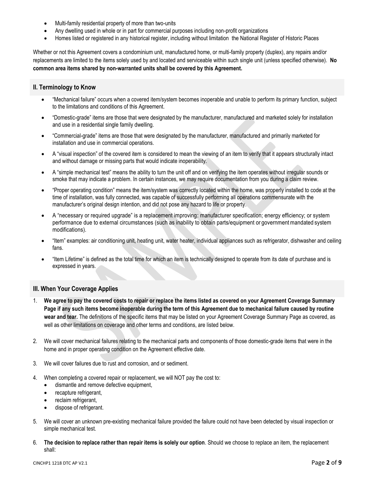- Multi-family residential property of more than two-units
- Any dwelling used in whole or in part for commercial purposes including non-profit organizations
- Homes listed or registered in any historical register, including without limitation the National Register of Historic Places

Whether or not this Agreement covers a condominium unit, manufactured home, or multi-family property (duplex), any repairs and/or replacements are limited to the items solely used by and located and serviceable within such single unit (unless specified otherwise). **No common area items shared by non-warranted units shall be covered by this Agreement.**

# <span id="page-1-0"></span>**II. Terminology to Know**

- "Mechanical failure" occurs when a covered item/system becomes inoperable and unable to perform its primary function, subject to the limitations and conditions of this Agreement.
- "Domestic-grade" items are those that were designated by the manufacturer, manufactured and marketed solely for installation and use in a residential single family dwelling.
- "Commercial-grade" items are those that were designated by the manufacturer, manufactured and primarily marketed for installation and use in commercial operations.
- A "visual inspection" of the covered item is considered to mean the viewing of an item to verify that it appears structurally intact and without damage or missing parts that would indicate inoperability.
- A "simple mechanical test" means the ability to turn the unit off and on verifying the item operates without irregular sounds or smoke that may indicate a problem. In certain instances, we may require documentation from you during a claim review.
- "Proper operating condition" means the item/system was correctly located within the home, was properly installed to code at the time of installation, was fully connected, was capable of successfully performing all operations commensurate with the manufacturer's original design intention, and did not pose any hazard to life or property.
- A "necessary or required upgrade" is a replacement improving: manufacturer specification; energy efficiency; or system performance due to external circumstances (such as inability to obtain parts/equipment or government mandated system modifications).
- "Item" examples: air conditioning unit, heating unit, water heater, individual appliances such as refrigerator, dishwasher and ceiling fans.
- "Item Lifetime" is defined as the total time for which an item is technically designed to operate from its date of purchase and is expressed in years.

## <span id="page-1-1"></span>**III. When Your Coverage Applies**

- 1. **We agree to pay the covered costs to repair or replace the items listed as covered on your Agreement Coverage Summary Page if any such items become inoperable during the term of this Agreement due to mechanical failure caused by routine wear and tear.** The definitions of the specific items that may be listed on your Agreement Coverage Summary Page as covered, as well as other limitations on coverage and other terms and conditions, are listed below.
- 2. We will cover mechanical failures relating to the mechanical parts and components of those domestic-grade items that were in the home and in proper operating condition on the Agreement effective date.
- 3. We will cover failures due to rust and corrosion, and or sediment.
- 4. When completing a covered repair or replacement, we will NOT pay the cost to:
	- dismantle and remove defective equipment,
	- recapture refrigerant,
	- reclaim refrigerant,
	- dispose of refrigerant.
- 5. We will cover an unknown pre-existing mechanical failure provided the failure could not have been detected by visual inspection or simple mechanical test.
- 6. **The decision to replace rather than repair items is solely our option**. Should we choose to replace an item, the replacement shall: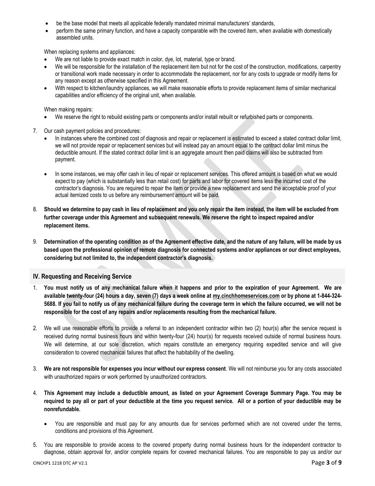- be the base model that meets all applicable federally mandated minimal manufacturers' standards,
- perform the same primary function, and have a capacity comparable with the covered item, when available with domestically assembled units.

When replacing systems and appliances:

- We are not liable to provide exact match in color, dye, lot, material, type or brand.
- We will be responsible for the installation of the replacement item but not for the cost of the construction, modifications, carpentry or transitional work made necessary in order to accommodate the replacement, nor for any costs to upgrade or modify items for any reason except as otherwise specified in this Agreement.
- With respect to kitchen/laundry appliances, we will make reasonable efforts to provide replacement items of similar mechanical capabilities and/or efficiency of the original unit, when available.

When making repairs:

- We reserve the right to rebuild existing parts or components and/or install rebuilt or refurbished parts or components.
- 7. Our cash payment policies and procedures:
	- In instances where the combined cost of diagnosis and repair or replacement is estimated to exceed a stated contract dollar limit, we will not provide repair or replacement services but will instead pay an amount equal to the contract dollar limit minus the deductible amount. If the stated contract dollar limit is an aggregate amount then paid claims will also be subtracted from payment.
	- In some instances, we may offer cash in lieu of repair or replacement services. This offered amount is based on what we would expect to pay (which is substantially less than retail cost) for parts and labor for covered items less the incurred cost of the contractor's diagnosis. You are required to repair the item or provide a new replacement and send the acceptable proof of your actual itemized costs to us before any reimbursement amount will be paid.
- 8. **Should we determine to pay cash in lieu of replacement and you only repair the item instead, the item will be excluded from further coverage under this Agreement and subsequent renewals. We reserve the right to inspect repaired and/or replacement items.**
- 9. **Determination of the operating condition as of the Agreement effective date, and the nature of any failure, will be made by us based upon the professional opinion of remote diagnosis for connected systems and/or appliances or our direct employees, considering but not limited to, the independent contractor's diagnosis.**

#### <span id="page-2-0"></span>**IV. Requesting and Receiving Service**

- 1. **You must notify us of any mechanical failure when it happens and prior to the expiration of your Agreement. We are available twenty-four (24) hours a day, seven (7) days a week online at [my.cinchhomeservices.com](http://www.x.com/) or by phone at 1-844-324- 5688. If you fail to notify us of any mechanical failure during the coverage term in which the failure occurred, we will not be responsible for the cost of any repairs and/or replacements resulting from the mechanical failure.**
- 2. We will use reasonable efforts to provide a referral to an independent contractor within two (2) hour(s) after the service request is received during normal business hours and within twenty-four (24) hour(s) for requests received outside of normal business hours. We will determine, at our sole discretion, which repairs constitute an emergency requiring expedited service and will give consideration to covered mechanical failures that affect the habitability of the dwelling.
- 3. **We are not responsible for expenses you incur without our express consent**. We will not reimburse you for any costs associated with unauthorized repairs or work performed by unauthorized contractors.
- 4. **This Agreement may include a deductible amount, as listed on your Agreement Coverage Summary Page. You may be required to pay all or part of your deductible at the time you request service. All or a portion of your deductible may be nonrefundable.** 
	- You are responsible and must pay for any amounts due for services performed which are not covered under the terms, conditions and provisions of this Agreement.
- 5. You are responsible to provide access to the covered property during normal business hours for the independent contractor to diagnose, obtain approval for, and/or complete repairs for covered mechanical failures. You are responsible to pay us and/or our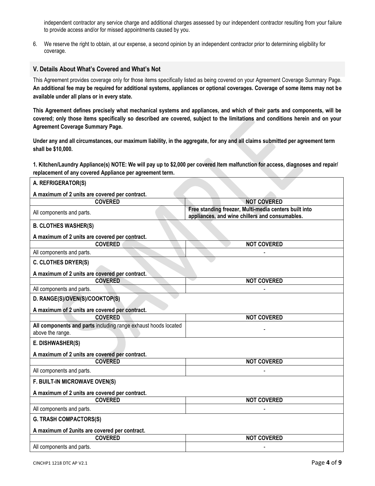independent contractor any service charge and additional charges assessed by our independent contractor resulting from your failure to provide access and/or for missed appointments caused by you.

6. We reserve the right to obtain, at our expense, a second opinion by an independent contractor prior to determining eligibility for coverage.

#### <span id="page-3-0"></span>**V. Details About What's Covered and What's Not**

This Agreement provides coverage only for those items specifically listed as being covered on your Agreement Coverage Summary Page. **An additional fee may be required for additional systems, appliances or optional coverages. Coverage of some items may not be available under all plans or in every state.**

**This Agreement defines precisely what mechanical systems and appliances, and which of their parts and components, will be covered; only those items specifically so described are covered, subject to the limitations and conditions herein and on your Agreement Coverage Summary Page.** 

**Under any and all circumstances, our maximum liability, in the aggregate, for any and all claims submitted per agreement term shall be \$10,000.**

<span id="page-3-1"></span>**1. Kitchen/Laundry Appliance(s) NOTE: We will pay up to \$2,000 per covered Item malfunction for access, diagnoses and repair/ replacement of any covered Appliance per agreement term.**

| A. REFRIGERATOR(S)                                             |                                                                                                         |
|----------------------------------------------------------------|---------------------------------------------------------------------------------------------------------|
| A maximum of 2 units are covered per contract.                 |                                                                                                         |
| <b>COVERED</b>                                                 | <b>NOT COVERED</b>                                                                                      |
| All components and parts.                                      | Free standing freezer, Multi-media centers built into<br>appliances, and wine chillers and consumables. |
| <b>B. CLOTHES WASHER(S)</b>                                    |                                                                                                         |
| A maximum of 2 units are covered per contract.                 |                                                                                                         |
| <b>COVERED</b>                                                 | <b>NOT COVERED</b>                                                                                      |
| All components and parts.                                      |                                                                                                         |
| <b>C. CLOTHES DRYER(S)</b>                                     |                                                                                                         |
| A maximum of 2 units are covered per contract.                 |                                                                                                         |
| <b>COVERED</b>                                                 | <b>NOT COVERED</b>                                                                                      |
| All components and parts.                                      |                                                                                                         |
| D. RANGE(S)/OVEN(S)/COOKTOP(S)                                 |                                                                                                         |
| A maximum of 2 units are covered per contract.                 |                                                                                                         |
| <b>COVERED</b>                                                 | <b>NOT COVERED</b>                                                                                      |
| All components and parts including range exhaust hoods located |                                                                                                         |
| above the range.                                               |                                                                                                         |
| E. DISHWASHER(S)                                               |                                                                                                         |
| A maximum of 2 units are covered per contract.                 |                                                                                                         |
| <b>COVERED</b>                                                 | <b>NOT COVERED</b>                                                                                      |
| All components and parts.                                      |                                                                                                         |
| F. BUILT-IN MICROWAVE OVEN(S)                                  |                                                                                                         |
| A maximum of 2 units are covered per contract.                 |                                                                                                         |
| <b>COVERED</b>                                                 | <b>NOT COVERED</b>                                                                                      |
| All components and parts.                                      |                                                                                                         |
| <b>G. TRASH COMPACTORS(S)</b>                                  |                                                                                                         |
| A maximum of 2units are covered per contract.                  |                                                                                                         |
| <b>COVERED</b>                                                 | <b>NOT COVERED</b>                                                                                      |
| All components and parts.                                      |                                                                                                         |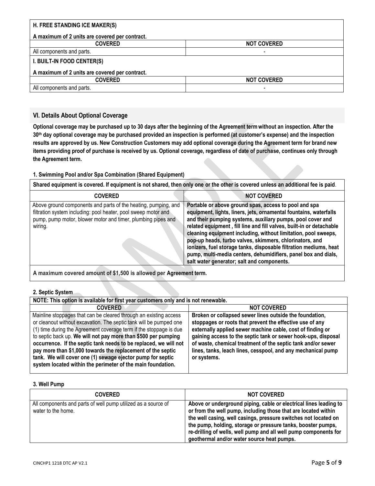| H. FREE STANDING ICE MAKER(S)                  |                          |
|------------------------------------------------|--------------------------|
| A maximum of 2 units are covered per contract. |                          |
| <b>COVERED</b>                                 | <b>NOT COVERED</b>       |
| All components and parts.                      |                          |
| I. BUILT-IN FOOD CENTER(S)                     |                          |
| A maximum of 2 units are covered per contract. |                          |
| <b>COVERED</b>                                 | <b>NOT COVERED</b>       |
| All components and parts.                      | $\overline{\phantom{0}}$ |

# <span id="page-4-0"></span>**VI. Details About Optional Coverage**

**Optional coverage may be purchased up to 30 days after the beginning of the Agreement term without an inspection. After the 30th day optional coverage may be purchased provided an inspection is performed (at customer's expense) and the inspection results are approved by us. New Construction Customers may add optional coverage during the Agreement term for brand new items providing proof of purchase is received by us. Optional coverage, regardless of date of purchase, continues only through the Agreement term.**

### <span id="page-4-1"></span>**1. Swimming Pool and/or Spa Combination (Shared Equipment)**

**Shared equipment is covered. If equipment is not shared, then only one or the other is covered unless an additional fee is paid**.

| <b>COVERED</b>                                                                                                                                                                                              | <b>NOT COVERED</b>                                                                                                                                                                                                                                                                                                                                                                                                                                                                                                                                                                 |
|-------------------------------------------------------------------------------------------------------------------------------------------------------------------------------------------------------------|------------------------------------------------------------------------------------------------------------------------------------------------------------------------------------------------------------------------------------------------------------------------------------------------------------------------------------------------------------------------------------------------------------------------------------------------------------------------------------------------------------------------------------------------------------------------------------|
| Above ground components and parts of the heating, pumping, and<br>filtration system including: pool heater, pool sweep motor and<br>pump, pump motor, blower motor and timer, plumbing pipes and<br>wiring. | Portable or above ground spas, access to pool and spa<br>equipment, lights, liners, jets, ornamental fountains, waterfalls<br>and their pumping systems, auxiliary pumps, pool cover and<br>related equipment, fill line and fill valves, built-in or detachable<br>cleaning equipment including, without limitation, pool sweeps,<br>pop-up heads, turbo valves, skimmers, chlorinators, and<br>ionizers, fuel storage tanks, disposable filtration mediums, heat<br>pump, multi-media centers, dehumidifiers, panel box and dials,<br>salt water generator; salt and components. |

**A maximum covered amount of \$1,500 is allowed per Agreement term.**

#### <span id="page-4-2"></span>**2. Septic System**

| NOTE: This option is available for first year customers only and is not renewable.                                                                                                                                                                                                                                                                                                                                                                                                                                                              |                                                                                                                                                                                                                                                                                                                                                                                                   |  |
|-------------------------------------------------------------------------------------------------------------------------------------------------------------------------------------------------------------------------------------------------------------------------------------------------------------------------------------------------------------------------------------------------------------------------------------------------------------------------------------------------------------------------------------------------|---------------------------------------------------------------------------------------------------------------------------------------------------------------------------------------------------------------------------------------------------------------------------------------------------------------------------------------------------------------------------------------------------|--|
| <b>COVERED</b>                                                                                                                                                                                                                                                                                                                                                                                                                                                                                                                                  | <b>NOT COVERED</b>                                                                                                                                                                                                                                                                                                                                                                                |  |
| Mainline stoppages that can be cleared through an existing access<br>or cleanout without excavation. The septic tank will be pumped one<br>(1) time during the Agreement coverage term if the stoppage is due<br>to septic back up. We will not pay more than \$500 per pumping<br>occurrence. If the septic tank needs to be replaced, we will not<br>pay more than \$1,000 towards the replacement of the septic<br>tank. We will cover one (1) sewage ejector pump for septic<br>system located within the perimeter of the main foundation. | Broken or collapsed sewer lines outside the foundation,<br>stoppages or roots that prevent the effective use of any<br>externally applied sewer machine cable, cost of finding or<br>gaining access to the septic tank or sewer hook-ups, disposal<br>of waste, chemical treatment of the septic tank and/or sewer<br>lines, tanks, leach lines, cesspool, and any mechanical pump<br>or systems. |  |

## <span id="page-4-3"></span>**3. Well Pump**

| <b>COVERED</b>                                                                      | <b>NOT COVERED</b>                                                                                                                                                                                                                                                                                                                                                                       |
|-------------------------------------------------------------------------------------|------------------------------------------------------------------------------------------------------------------------------------------------------------------------------------------------------------------------------------------------------------------------------------------------------------------------------------------------------------------------------------------|
| All components and parts of well pump utilized as a source of<br>water to the home. | Above or underground piping, cable or electrical lines leading to<br>or from the well pump, including those that are located within<br>the well casing, well casings, pressure switches not located on<br>the pump, holding, storage or pressure tanks, booster pumps,<br>re-drilling of wells, well pump and all well pump components for<br>geothermal and/or water source heat pumps. |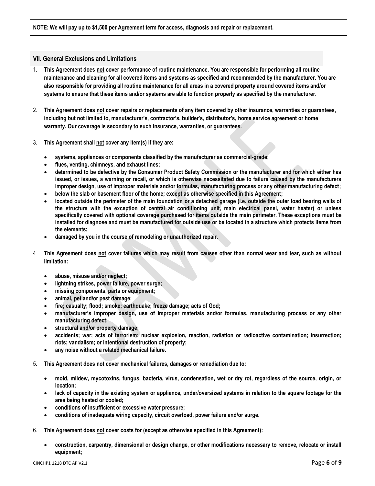#### <span id="page-5-0"></span>**VII. General Exclusions and Limitations**

- 1. **This Agreement does not cover performance of routine maintenance. You are responsible for performing all routine maintenance and cleaning for all covered items and systems as specified and recommended by the manufacturer. You are also responsible for providing all routine maintenance for all areas in a covered property around covered items and/or systems to ensure that these items and/or systems are able to function properly as specified by the manufacturer.**
- 2. **This Agreement does not cover repairs or replacements of any item covered by other insurance, warranties or guarantees, including but not limited to, manufacturer's, contractor's, builder's, distributor's, home service agreement or home warranty. Our coverage is secondary to such insurance, warranties, or guarantees.**
- 3. **This Agreement shall not cover any item(s) if they are:** 
	- **systems, appliances or components classified by the manufacturer as commercial-grade;**
	- **flues, venting, chimneys, and exhaust lines;**
	- **determined to be defective by the Consumer Product Safety Commission or the manufacturer and for which either has issued, or issues, a warning or recall, or which is otherwise necessitated due to failure caused by the manufacturers improper design, use of improper materials and/or formulas, manufacturing process or any other manufacturing defect;**
	- **below the slab or basement floor of the home; except as otherwise specified in this Agreement;**
	- **located outside the perimeter of the main foundation or a detached garage (i.e. outside the outer load bearing walls of the structure with the exception of central air conditioning unit, main electrical panel, water heater) or unless specifically covered with optional coverage purchased for items outside the main perimeter. These exceptions must be installed for diagnose and must be manufactured for outside use or be located in a structure which protects items from the elements;**
	- **damaged by you in the course of remodeling or unauthorized repair.**
- 4. **This Agreement does not cover failures which may result from causes other than normal wear and tear, such as without limitation:** 
	- **abuse, misuse and/or neglect;**
	- **lightning strikes, power failure, power surge;**
	- **missing components, parts or equipment;**
	- **animal, pet and/or pest damage;**
	- **fire; casualty; flood; smoke; earthquake; freeze damage; acts of God;**
	- **manufacturer's improper design, use of improper materials and/or formulas, manufacturing process or any other manufacturing defect;**
	- **structural and/or property damage;**
	- **accidents; war; acts of terrorism; nuclear explosion, reaction, radiation or radioactive contamination; insurrection; riots; vandalism; or intentional destruction of property;**
	- **any noise without a related mechanical failure.**
- 5. **This Agreement does not cover mechanical failures, damages or remediation due to:**
	- **mold, mildew, mycotoxins, fungus, bacteria, virus, condensation, wet or dry rot, regardless of the source, origin, or location;**
	- **lack of capacity in the existing system or appliance, under/oversized systems in relation to the square footage for the area being heated or cooled;**
	- **conditions of insufficient or excessive water pressure;**
	- **conditions of inadequate wiring capacity, circuit overload, power failure and/or surge.**
- 6. **This Agreement does not cover costs for (except as otherwise specified in this Agreement):**
	- **construction, carpentry, dimensional or design change, or other modifications necessary to remove, relocate or install equipment;**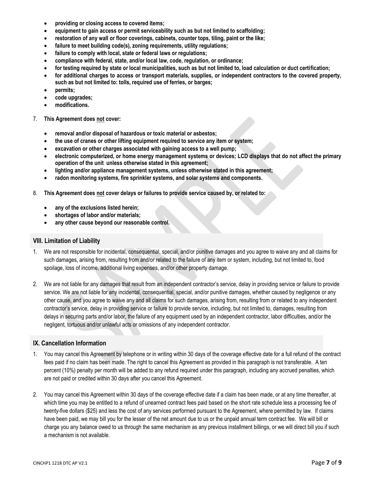- **providing or closing access to covered items;**
- **equipment to gain access or permit serviceability such as but not limited to scaffolding;**
- **restoration of any wall or floor coverings, cabinets, counter tops, tiling, paint or the like;**
- **failure to meet building code(s), zoning requirements, utility regulations;**
- **failure to comply with local, state or federal laws or regulations;**
- **compliance with federal, state, and/or local law, code, regulation, or ordinance;**
- **for testing required by state or local municipalities, such as but not limited to, load calculation or duct certification;**
- **for additional charges to access or transport materials, supplies, or independent contractors to the covered property, such as but not limited to: tolls, required use of ferries, or barges;**
- **permits;**
- **code upgrades;**
- **modifications.**
- 7. **This Agreement does not cover:** 
	- **removal and/or disposal of hazardous or toxic material or asbestos;**
	- **the use of cranes or other lifting equipment required to service any item or system;**
	- **excavation or other charges associated with gaining access to a well pump;**
	- **electronic computerized, or home energy management systems or devices; LCD displays that do not affect the primary operation of the unit unless otherwise stated in this agreement;**
	- **lighting and/or appliance management systems, unless otherwise stated in this agreement;**
	- **radon monitoring systems, fire sprinkler systems, and solar systems and components.**
- 8. **This Agreement does not cover delays or failures to provide service caused by, or related to:** 
	- **any of the exclusions listed herein;**
	- **shortages of labor and/or materials;**
	- **any other cause beyond our reasonable control.**

### <span id="page-6-0"></span>**VIII. Limitation of Liability**

- 1. We are not responsible for incidental, consequential, special, and/or punitive damages and you agree to waive any and all claims for such damages, arising from, resulting from and/or related to the failure of any item or system, including, but not limited to, food spoilage, loss of income, additional living expenses, and/or other property damage.
- 2. We are not liable for any damages that result from an independent contractor's service, delay in providing service or failure to provide service. We are not liable for any incidental, consequential, special, and/or punitive damages, whether caused by negligence or any other cause, and you agree to waive any and all claims for such damages, arising from, resulting from or related to any independent contractor's service, delay in providing service or failure to provide service, including, but not limited to, damages, resulting from delays in securing parts and/or labor, the failure of any equipment used by an independent contractor, labor difficulties, and/or the negligent, tortuous and/or unlawful acts or omissions of any independent contractor.

## <span id="page-6-1"></span>**IX. Cancellation Information**

- 1. You may cancel this Agreement by telephone or in writing within 30 days of the coverage effective date for a full refund of the contract fees paid if no claim has been made. The right to cancel this Agreement as provided in this paragraph is not transferable. A ten percent (10%) penalty per month will be added to any refund required under this paragraph, including any accrued penalties, which are not paid or credited within 30 days after you cancel this Agreement.
- 2. You may cancel this Agreement within 30 days of the coverage effective date if a claim has been made, or at any time thereafter, at which time you may be entitled to a refund of unearned contract fees paid based on the short rate schedule less a processing fee of twenty-five dollars (\$25) and less the cost of any services performed pursuant to the Agreement, where permitted by law. If claims have been paid, we may bill you for the lesser of the net amount due to us or the unpaid annual term contract fee. We will bill or charge you any balance owed to us through the same mechanism as any previous installment billings, or we will direct bill you if such a mechanism is not available.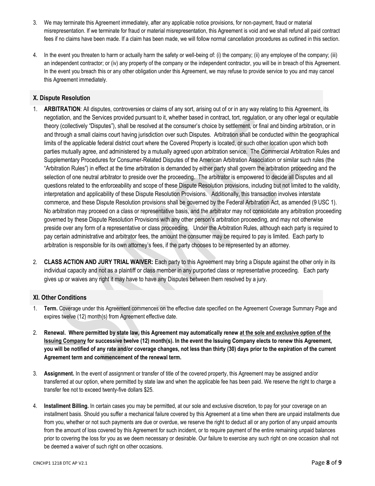- 3. We may terminate this Agreement immediately, after any applicable notice provisions, for non-payment, fraud or material misrepresentation. If we terminate for fraud or material misrepresentation, this Agreement is void and we shall refund all paid contract fees if no claims have been made. If a claim has been made, we will follow normal cancellation procedures as outlined in this section.
- 4. In the event you threaten to harm or actually harm the safety or well-being of: (i) the company; (ii) any employee of the company; (iii) an independent contractor; or (iv) any property of the company or the independent contractor, you will be in breach of this Agreement. In the event you breach this or any other obligation under this Agreement, we may refuse to provide service to you and may cancel this Agreement immediately.

# <span id="page-7-0"></span>**X. Dispute Resolution**

- 1. **ARBITRATION**: All disputes, controversies or claims of any sort, arising out of or in any way relating to this Agreement, its negotiation, and the Services provided pursuant to it, whether based in contract, tort, regulation, or any other legal or equitable theory (collectively "Disputes"), shall be resolved at the consumer's choice by settlement, or final and binding arbitration, or in and through a small claims court having jurisdiction over such Disputes. Arbitration shall be conducted within the geographical limits of the applicable federal district court where the Covered Property is located, or such other location upon which both parties mutually agree, and administered by a mutually agreed upon arbitration service. The Commercial Arbitration Rules and Supplementary Procedures for Consumer-Related Disputes of the American Arbitration Association or similar such rules (the "Arbitration Rules") in effect at the time arbitration is demanded by either party shall govern the arbitration proceeding and the selection of one neutral arbitrator to preside over the proceeding. The arbitrator is empowered to decide all Disputes and all questions related to the enforceability and scope of these Dispute Resolution provisions, including but not limited to the validity, interpretation and applicability of these Dispute Resolution Provisions. Additionally, this transaction involves interstate commerce, and these Dispute Resolution provisions shall be governed by the Federal Arbitration Act, as amended (9 USC 1). No arbitration may proceed on a class or representative basis, and the arbitrator may not consolidate any arbitration proceeding governed by these Dispute Resolution Provisions with any other person's arbitration proceeding, and may not otherwise preside over any form of a representative or class proceeding. Under the Arbitration Rules, although each party is required to pay certain administrative and arbitrator fees, the amount the consumer may be required to pay is limited. Each party to arbitration is responsible for its own attorney's fees, if the party chooses to be represented by an attorney.
- 2. **CLASS ACTION AND JURY TRIAL WAIVER:** Each party to this Agreement may bring a Dispute against the other only in its individual capacity and not as a plaintiff or class member in any purported class or representative proceeding. Each party gives up or waives any right it may have to have any Disputes between them resolved by a jury.

### <span id="page-7-1"></span>**XI. Other Conditions**

- 1. **Term.** Coverage under this Agreement commences on the effective date specified on the Agreement Coverage Summary Page and expires twelve (12) month(s) from Agreement effective date.
- 2. **Renewal. Where permitted by state law, this Agreement may automatically renew at the sole and exclusive option of the Issuing Company for successive twelve (12) month(s). In the event the Issuing Company elects to renew this Agreement, you will be notified of any rate and/or coverage changes, not less than thirty (30) days prior to the expiration of the current Agreement term and commencement of the renewal term.**
- 3. **Assignment.** In the event of assignment or transfer of title of the covered property, this Agreement may be assigned and/or transferred at our option, where permitted by state law and when the applicable fee has been paid. We reserve the right to charge a transfer fee not to exceed twenty-five dollars \$25.
- 4. **Installment Billing.** In certain cases you may be permitted, at our sole and exclusive discretion, to pay for your coverage on an installment basis. Should you suffer a mechanical failure covered by this Agreement at a time when there are unpaid installments due from you, whether or not such payments are due or overdue, we reserve the right to deduct all or any portion of any unpaid amounts from the amount of loss covered by this Agreement for such incident, or to require payment of the entire remaining unpaid balances prior to covering the loss for you as we deem necessary or desirable. Our failure to exercise any such right on one occasion shall not be deemed a waiver of such right on other occasions.